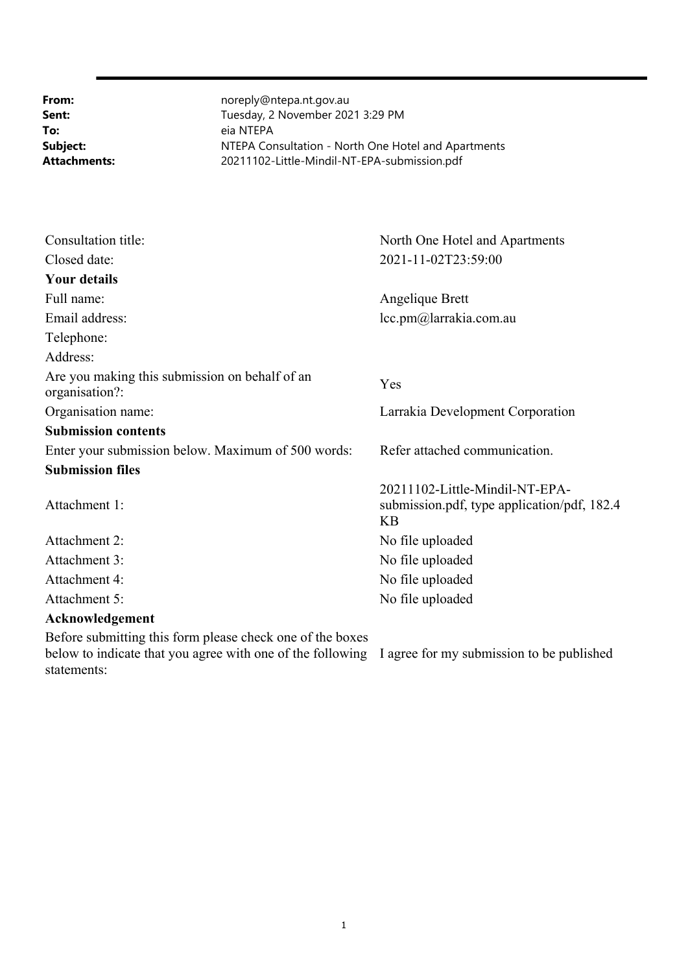**To:** eia NTEPA

**From:** noreply@ntepa.nt.gov.au **Sent:** Tuesday, 2 November 2021 3:29 PM **Subject:** NTEPA Consultation - North One Hotel and Apartments **Attachments:** 20211102-Little-Mindil-NT-EPA-submission.pdf

| Consultation title:                                              | North One Hotel and Apartments                                                      |
|------------------------------------------------------------------|-------------------------------------------------------------------------------------|
| Closed date:                                                     | 2021-11-02T23:59:00                                                                 |
| <b>Your details</b>                                              |                                                                                     |
| Full name:                                                       | Angelique Brett                                                                     |
| Email address:                                                   | lcc.pm@larrakia.com.au                                                              |
| Telephone:                                                       |                                                                                     |
| Address:                                                         |                                                                                     |
| Are you making this submission on behalf of an<br>organisation?: | Yes                                                                                 |
| Organisation name:                                               | Larrakia Development Corporation                                                    |
| <b>Submission contents</b>                                       |                                                                                     |
| Enter your submission below. Maximum of 500 words:               | Refer attached communication.                                                       |
| <b>Submission files</b>                                          |                                                                                     |
| Attachment 1:                                                    | 20211102-Little-Mindil-NT-EPA-<br>submission.pdf, type application/pdf, 182.4<br>KB |
| Attachment 2:                                                    | No file uploaded                                                                    |
| Attachment 3:                                                    | No file uploaded                                                                    |
| Attachment 4:                                                    | No file uploaded                                                                    |
| Attachment 5:                                                    | No file uploaded                                                                    |
| Acknowledgement                                                  |                                                                                     |
| Before submitting this form please check one of the boxes        |                                                                                     |

below to indicate that you agree with one of the following I agree for my submission to be published statements: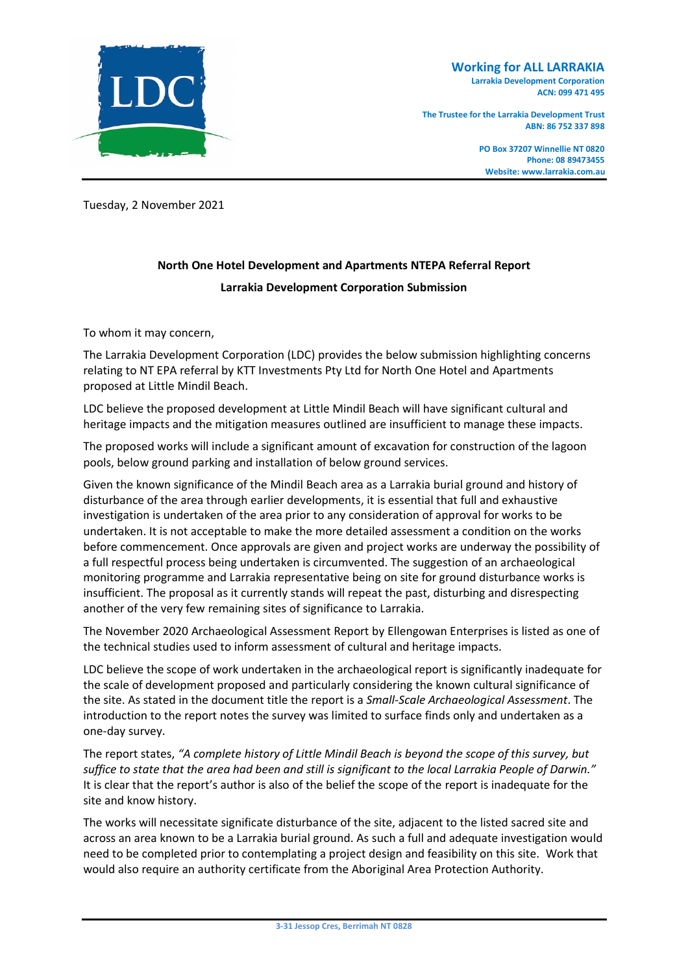

**The Trustee for the Larrakia Development Trust ABN: 86 752 337 898**

> **PO Box 37207 Winnellie NT 0820 Phone: 08 89473455 Website: www.larrakia.com.au**

Tuesday, 2 November 2021

## **North One Hotel Development and Apartments NTEPA Referral Report Larrakia Development Corporation Submission**

To whom it may concern,

The Larrakia Development Corporation (LDC) provides the below submission highlighting concerns relating to NT EPA referral by KTT Investments Pty Ltd for North One Hotel and Apartments proposed at Little Mindil Beach.

LDC believe the proposed development at Little Mindil Beach will have significant cultural and heritage impacts and the mitigation measures outlined are insufficient to manage these impacts.

The proposed works will include a significant amount of excavation for construction of the lagoon pools, below ground parking and installation of below ground services.

Given the known significance of the Mindil Beach area as a Larrakia burial ground and history of disturbance of the area through earlier developments, it is essential that full and exhaustive investigation is undertaken of the area prior to any consideration of approval for works to be undertaken. It is not acceptable to make the more detailed assessment a condition on the works before commencement. Once approvals are given and project works are underway the possibility of a full respectful process being undertaken is circumvented. The suggestion of an archaeological monitoring programme and Larrakia representative being on site for ground disturbance works is insufficient. The proposal as it currently stands will repeat the past, disturbing and disrespecting another of the very few remaining sites of significance to Larrakia.

The November 2020 Archaeological Assessment Report by Ellengowan Enterprises is listed as one of the technical studies used to inform assessment of cultural and heritage impacts.

LDC believe the scope of work undertaken in the archaeological report is significantly inadequate for the scale of development proposed and particularly considering the known cultural significance of the site. As stated in the document title the report is a *Small-Scale Archaeological Assessment*. The introduction to the report notes the survey was limited to surface finds only and undertaken as a one-day survey.

The report states, *"A complete history of Little Mindil Beach is beyond the scope of this survey, but suffice to state that the area had been and still is significant to the local Larrakia People of Darwin."*  It is clear that the report's author is also of the belief the scope of the report is inadequate for the site and know history.

The works will necessitate significate disturbance of the site, adjacent to the listed sacred site and across an area known to be a Larrakia burial ground. As such a full and adequate investigation would need to be completed prior to contemplating a project design and feasibility on this site. Work that would also require an authority certificate from the Aboriginal Area Protection Authority.